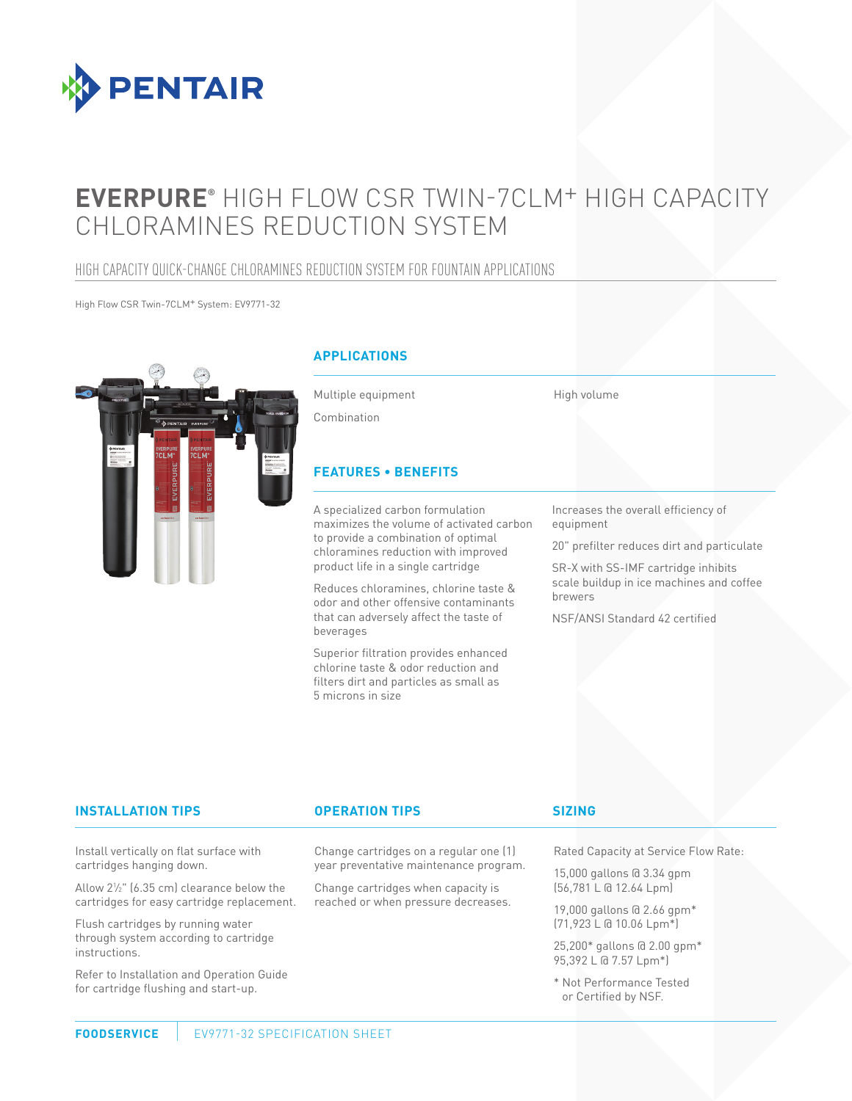

# **EVERPURE®** HIGH FLOW CSR TWIN-7CLM+ HIGH CAPACITY CHLORAMINES REDUCTION SYSTEM

### HIGH CAPACITY QUICK-CHANGE CHLORAMINES REDUCTION SYSTEM FOR FOUNTAIN APPLICATIONS

High Flow CSR Twin-7CLM+ System: EV9771-32



### **APPLICATIONS**

Multiple equipment

High volume

Combination

### **FEATURES • BENEFITS**

A specialized carbon formulation maximizes the volume of activated carbon to provide a combination of optimal chloramines reduction with improved product life in a single cartridge

Reduces chloramines, chlorine taste & odor and other offensive contaminants that can adversely affect the taste of beverages

Superior filtration provides enhanced chlorine taste & odor reduction and filters dirt and particles as small as 5 microns in size

Increases the overall efficiency of equipment

20" prefilter reduces dirt and particulate

SR-X with SS-IMF cartridge inhibits scale buildup in ice machines and coffee brewers

NSF/ANSI Standard 42 certified

### **INSTALLATION TIPS OPERATION TIPS**

Change cartridges on a regular one (1) year preventative maintenance program.

Change cartridges when capacity is reached or when pressure decreases.

### **SIZING**

Rated Capacity at Service Flow Rate:

15,000 gallons @ 3.34 gpm (56,781 L @ 12.64 Lpm)

19,000 gallons @ 2.66 gpm\* (71,923 L @ 10.06 Lpm\*)

25,200\* gallons @ 2.00 gpm\* 95,392 L @ 7.57 Lpm\*)

\* Not Performance Tested or Certified by NSF.

Install vertically on flat surface with cartridges hanging down.

Allow 21 ⁄2" (6.35 cm) clearance below the cartridges for easy cartridge replacement.

Flush cartridges by running water through system according to cartridge instructions.

Refer to Installation and Operation Guide for cartridge flushing and start-up.